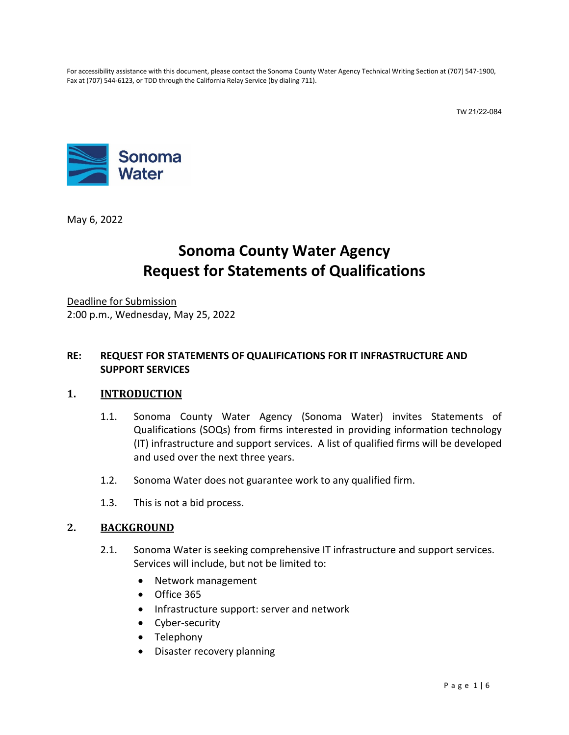For accessibility assistance with this document, please contact the Sonoma County Water Agency Technical Writing Section at (707) 547-1900, Fax at (707) 544-6123, or TDD through the California Relay Service (by dialing 711).

TW 21/22-084



May 6, 2022

# **Sonoma County Water Agency Request for Statements of Qualifications**

Deadline for Submission 2:00 p.m., Wednesday, May 25, 2022

#### **RE: REQUEST FOR STATEMENTS OF QUALIFICATIONS FOR IT INFRASTRUCTURE AND SUPPORT SERVICES**

#### **1. INTRODUCTION**

- 1.1. Sonoma County Water Agency (Sonoma Water) invites Statements of Qualifications (SOQs) from firms interested in providing information technology (IT) infrastructure and support services. A list of qualified firms will be developed and used over the next three years.
- 1.2. Sonoma Water does not guarantee work to any qualified firm.
- 1.3. This is not a bid process.

#### **2. BACKGROUND**

- 2.1. Sonoma Water is seeking comprehensive IT infrastructure and support services. Services will include, but not be limited to:
	- Network management
	- Office 365
	- Infrastructure support: server and network
	- Cyber-security
	- Telephony
	- Disaster recovery planning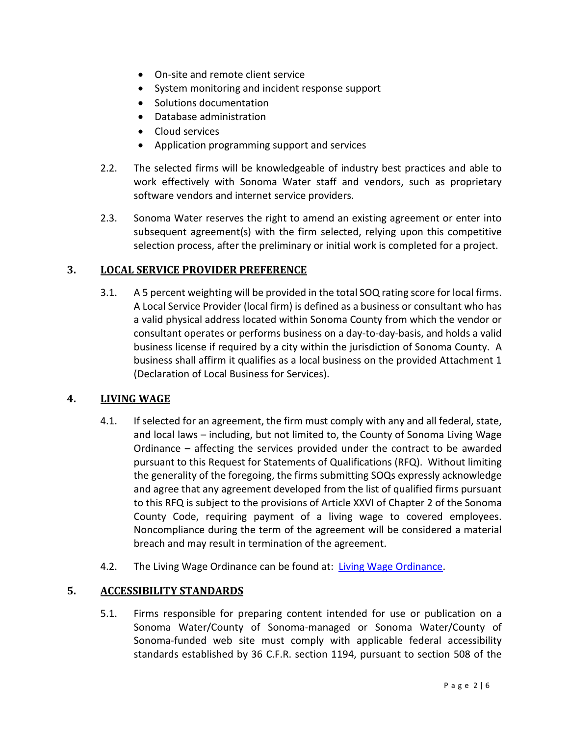- On-site and remote client service
- System monitoring and incident response support
- Solutions documentation
- Database administration
- Cloud services
- Application programming support and services
- 2.2. The selected firms will be knowledgeable of industry best practices and able to work effectively with Sonoma Water staff and vendors, such as proprietary software vendors and internet service providers.
- 2.3. Sonoma Water reserves the right to amend an existing agreement or enter into subsequent agreement(s) with the firm selected, relying upon this competitive selection process, after the preliminary or initial work is completed for a project.

## **3. LOCAL SERVICE PROVIDER PREFERENCE**

3.1. A 5 percent weighting will be provided in the total SOQ rating score for local firms. A Local Service Provider (local firm) is defined as a business or consultant who has a valid physical address located within Sonoma County from which the vendor or consultant operates or performs business on a day-to-day-basis, and holds a valid business license if required by a city within the jurisdiction of Sonoma County. A business shall affirm it qualifies as a local business on the provided Attachment 1 (Declaration of Local Business for Services).

### **4. LIVING WAGE**

- 4.1. If selected for an agreement, the firm must comply with any and all federal, state, and local laws – including, but not limited to, the County of Sonoma Living Wage Ordinance – affecting the services provided under the contract to be awarded pursuant to this Request for Statements of Qualifications (RFQ). Without limiting the generality of the foregoing, the firms submitting SOQs expressly acknowledge and agree that any agreement developed from the list of qualified firms pursuant to this RFQ is subject to the provisions of Article XXVI of Chapter 2 of the Sonoma County Code, requiring payment of a living wage to covered employees. Noncompliance during the term of the agreement will be considered a material breach and may result in termination of the agreement.
- 4.2. The Living Wage Ordinance can be found at: [Living Wage Ordinance.](https://sonomacounty.ca.gov/administrative-support-and-fiscal-services/general-services/divisions/purchasing/doing-business-with-the-county/living-wage-self-certification-for-suppliers)

### **5. ACCESSIBILITY STANDARDS**

5.1. Firms responsible for preparing content intended for use or publication on a Sonoma Water/County of Sonoma-managed or Sonoma Water/County of Sonoma-funded web site must comply with applicable federal accessibility standards established by 36 C.F.R. section 1194, pursuant to section 508 of the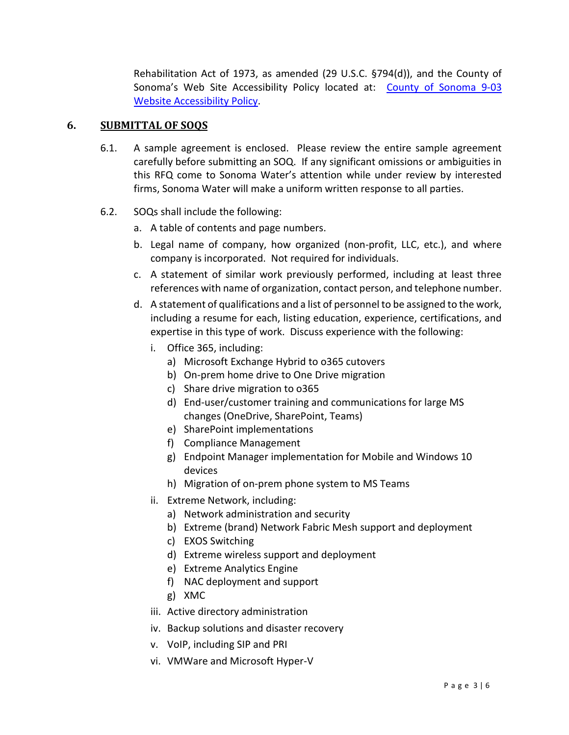Rehabilitation Act of 1973, as amended (29 U.S.C. §794(d)), and the County of Sonoma's Web Site Accessibility Policy located at: [County of Sonoma 9-03](http://sonomacounty.ca.gov/CAO/Administrative-Policies/9-3-Website-Accessibility-Policy/)  [Website Accessibility Policy.](http://sonomacounty.ca.gov/CAO/Administrative-Policies/9-3-Website-Accessibility-Policy/)

### **6. SUBMITTAL OF SOQS**

- 6.1. A sample agreement is enclosed. Please review the entire sample agreement carefully before submitting an SOQ. If any significant omissions or ambiguities in this RFQ come to Sonoma Water's attention while under review by interested firms, Sonoma Water will make a uniform written response to all parties.
- <span id="page-2-3"></span><span id="page-2-2"></span><span id="page-2-1"></span><span id="page-2-0"></span>6.2. SOQs shall include the following:
	- a. A table of contents and page numbers.
	- b. Legal name of company, how organized (non-profit, LLC, etc.), and where company is incorporated. Not required for individuals.
	- c. A statement of similar work previously performed, including at least three references with name of organization, contact person, and telephone number.
	- d. A statement of qualifications and a list of personnel to be assigned to the work, including a resume for each, listing education, experience, certifications, and expertise in this type of work. Discuss experience with the following:
		- i. Office 365, including:
			- a) Microsoft Exchange Hybrid to o365 cutovers
			- b) On-prem home drive to One Drive migration
			- c) Share drive migration to o365
			- d) End-user/customer training and communications for large MS changes (OneDrive, SharePoint, Teams)
			- e) SharePoint implementations
			- f) Compliance Management
			- g) Endpoint Manager implementation for Mobile and Windows 10 devices
			- h) Migration of on-prem phone system to MS Teams
		- ii. Extreme Network, including:
			- a) Network administration and security
			- b) Extreme (brand) Network Fabric Mesh support and deployment
			- c) EXOS Switching
			- d) Extreme wireless support and deployment
			- e) Extreme Analytics Engine
			- f) NAC deployment and support
			- g) XMC
		- iii. Active directory administration
		- iv. Backup solutions and disaster recovery
		- v. VoIP, including SIP and PRI
		- vi. VMWare and Microsoft Hyper-V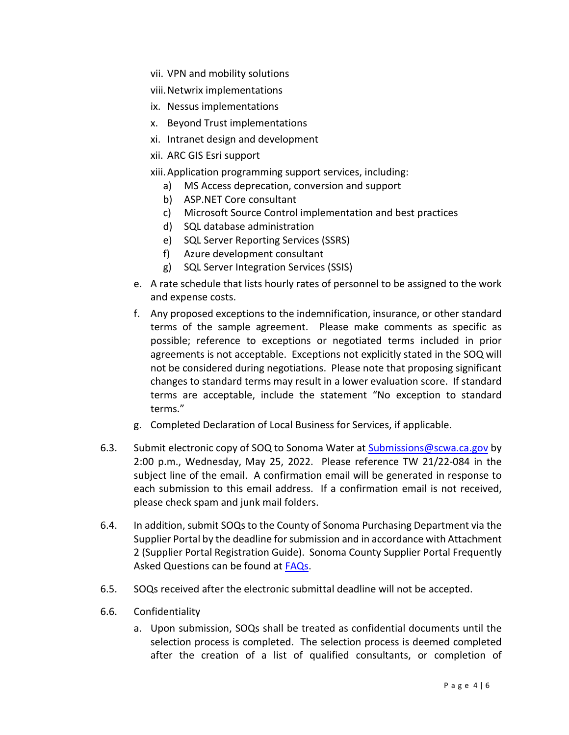- vii. VPN and mobility solutions
- viii.Netwrix implementations
- ix. Nessus implementations
- x. Beyond Trust implementations
- xi. Intranet design and development
- xii. ARC GIS Esri support

xiii.Application programming support services, including:

- a) MS Access deprecation, conversion and support
- b) ASP.NET Core consultant
- c) Microsoft Source Control implementation and best practices
- d) SQL database administration
- e) SQL Server Reporting Services (SSRS)
- f) Azure development consultant
- g) SQL Server Integration Services (SSIS)
- <span id="page-3-2"></span>e. A rate schedule that lists hourly rates of personnel to be assigned to the work and expense costs.
- <span id="page-3-0"></span>f. Any proposed exceptions to the indemnification, insurance, or other standard terms of the sample agreement. Please make comments as specific as possible; reference to exceptions or negotiated terms included in prior agreements is not acceptable. Exceptions not explicitly stated in the SOQ will not be considered during negotiations. Please note that proposing significant changes to standard terms may result in a lower evaluation score. If standard terms are acceptable, include the statement "No exception to standard terms."
- g. Completed Declaration of Local Business for Services, if applicable.
- <span id="page-3-1"></span>6.3. Submit electronic copy of SOQ to Sonoma Water at [Submissions@scwa.ca.gov](mailto:Submissions@scwa.ca.gov) by 2:00 p.m., Wednesday, May 25, 2022. Please reference TW 21/22-084 in the subject line of the email. A confirmation email will be generated in response to each submission to this email address. If a confirmation email is not received, please check spam and junk mail folders.
- 6.4. In addition, submit SOQsto the County of Sonoma Purchasing Department via the Supplier Portal by the deadline for submission and in accordance with Attachment 2 (Supplier Portal Registration Guide). Sonoma County Supplier Portal Frequently Asked Questions can be found at [FAQs.](https://sonomacounty.ca.gov/General-Services/Purchasing/Doing-Business-with-the-County/Frequently-Asked-Questions/)
- 6.5. SOQs received after the electronic submittal deadline will not be accepted.
- 6.6. Confidentiality
	- a. Upon submission, SOQs shall be treated as confidential documents until the selection process is completed. The selection process is deemed completed after the creation of a list of qualified consultants, or completion of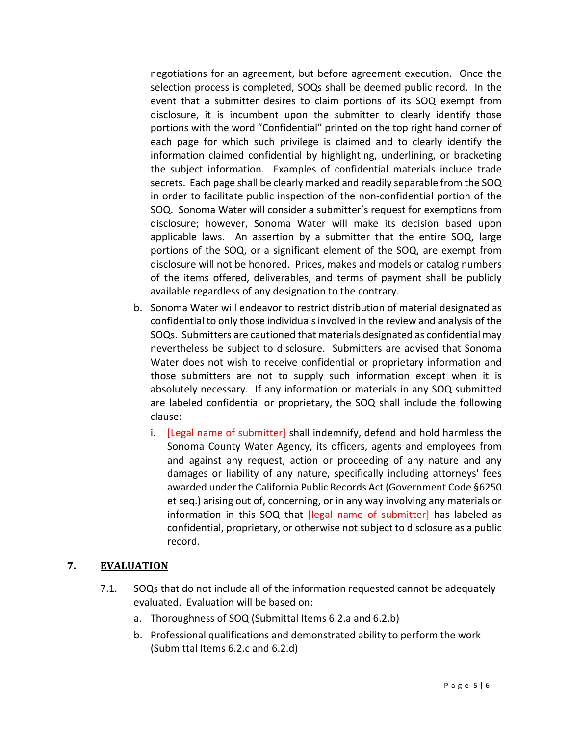negotiations for an agreement, but before agreement execution. Once the selection process is completed, SOQs shall be deemed public record. In the event that a submitter desires to claim portions of its SOQ exempt from disclosure, it is incumbent upon the submitter to clearly identify those portions with the word "Confidential" printed on the top right hand corner of each page for which such privilege is claimed and to clearly identify the information claimed confidential by highlighting, underlining, or bracketing the subject information. Examples of confidential materials include trade secrets. Each page shall be clearly marked and readily separable from the SOQ in order to facilitate public inspection of the non-confidential portion of the SOQ. Sonoma Water will consider a submitter's request for exemptions from disclosure; however, Sonoma Water will make its decision based upon applicable laws. An assertion by a submitter that the entire SOQ, large portions of the SOQ, or a significant element of the SOQ, are exempt from disclosure will not be honored. Prices, makes and models or catalog numbers of the items offered, deliverables, and terms of payment shall be publicly available regardless of any designation to the contrary.

- b. Sonoma Water will endeavor to restrict distribution of material designated as confidential to only those individuals involved in the review and analysis of the SOQs. Submitters are cautioned that materials designated as confidential may nevertheless be subject to disclosure. Submitters are advised that Sonoma Water does not wish to receive confidential or proprietary information and those submitters are not to supply such information except when it is absolutely necessary. If any information or materials in any SOQ submitted are labeled confidential or proprietary, the SOQ shall include the following clause:
	- i. [Legal name of submitter] shall indemnify, defend and hold harmless the Sonoma County Water Agency, its officers, agents and employees from and against any request, action or proceeding of any nature and any damages or liability of any nature, specifically including attorneys' fees awarded under the California Public Records Act (Government Code §6250 et seq.) arising out of, concerning, or in any way involving any materials or information in this SOQ that *[legal name of submitter]* has labeled as confidential, proprietary, or otherwise not subject to disclosure as a public record.

#### **7. EVALUATION**

- 7.1. SOQs that do not include all of the information requested cannot be adequately evaluated. Evaluation will be based on:
	- a. Thoroughness of SOQ (Submittal Items [6.2.a](#page-2-0) an[d 6.2.b\)](#page-2-1)
	- b. Professional qualifications and demonstrated ability to perform the work (Submittal Items [6.2.c](#page-2-2) and [6.2.d\)](#page-2-3)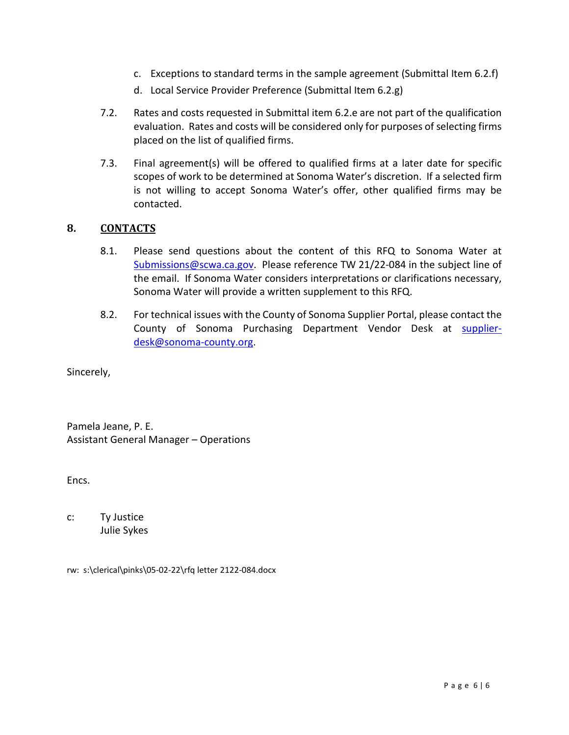- c. Exceptions to standard terms in the sample agreement (Submittal Item [6.2.f\)](#page-3-0)
- d. Local Service Provider Preference (Submittal Item [6.2.g\)](#page-3-1)
- 7.2. Rates and costs requested in Submittal ite[m 6.2.e](#page-3-2) are not part of the qualification evaluation. Rates and costs will be considered only for purposes of selecting firms placed on the list of qualified firms.
- 7.3. Final agreement(s) will be offered to qualified firms at a later date for specific scopes of work to be determined at Sonoma Water's discretion. If a selected firm is not willing to accept Sonoma Water's offer, other qualified firms may be contacted.

#### **8. CONTACTS**

- 8.1. Please send questions about the content of this RFQ to Sonoma Water at [Submissions@scwa.ca.gov.](mailto:Submissions@scwa.ca.gov) Please reference TW 21/22-084 in the subject line of the email. If Sonoma Water considers interpretations or clarifications necessary, Sonoma Water will provide a written supplement to this RFQ.
- 8.2. For technical issues with the County of Sonoma Supplier Portal, please contact the County of Sonoma Purchasing Department Vendor Desk at [supplier](mailto:supplier-desk@sonoma-county.org)[desk@sonoma-county.org.](mailto:supplier-desk@sonoma-county.org)

Sincerely,

Pamela Jeane, P. E. Assistant General Manager – Operations

Encs.

c: Ty Justice Julie Sykes

rw: s:\clerical\pinks\05-02-22\rfq letter 2122-084.docx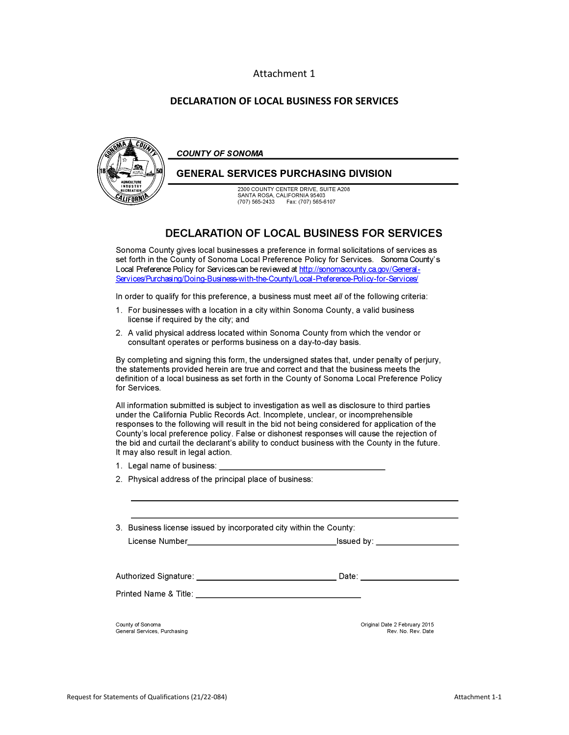#### Attachment 1

#### **DECLARATION OF LOCAL BUSINESS FOR SERVICES**



#### **DECLARATION OF LOCAL BUSINESS FOR SERVICES**

Sonoma County gives local businesses a preference in formal solicitations of services as set forth in the County of Sonoma Local Preference Policy for Services. Sonoma County's Local Preference Policy for Services can be reviewed at http://sonomacounty.ca.gov/General-Services/Purchasing/Doing-Business-with-the-County/Local-Preference-Policy-for-Services/

In order to qualify for this preference, a business must meet all of the following criteria:

- 1. For businesses with a location in a city within Sonoma County, a valid business license if required by the city; and
- 2. A valid physical address located within Sonoma County from which the vendor or consultant operates or performs business on a day-to-day basis.

By completing and signing this form, the undersigned states that, under penalty of perjury, the statements provided herein are true and correct and that the business meets the definition of a local business as set forth in the County of Sonoma Local Preference Policy for Services.

All information submitted is subject to investigation as well as disclosure to third parties under the California Public Records Act. Incomplete, unclear, or incomprehensible responses to the following will result in the bid not being considered for application of the County's local preference policy. False or dishonest responses will cause the rejection of the bid and curtail the declarant's ability to conduct business with the County in the future. It may also result in legal action.

- 1. Legal name of business:
- 2. Physical address of the principal place of business:

License Number

 $I$ ssued by:  $\overline{\phantom{a} \phantom{a}}$ 

Printed Name & Title: \_\_\_\_\_

County of Sonoma General Services, Purchasing Original Date 2 February 2015 Rev. No. Rev. Date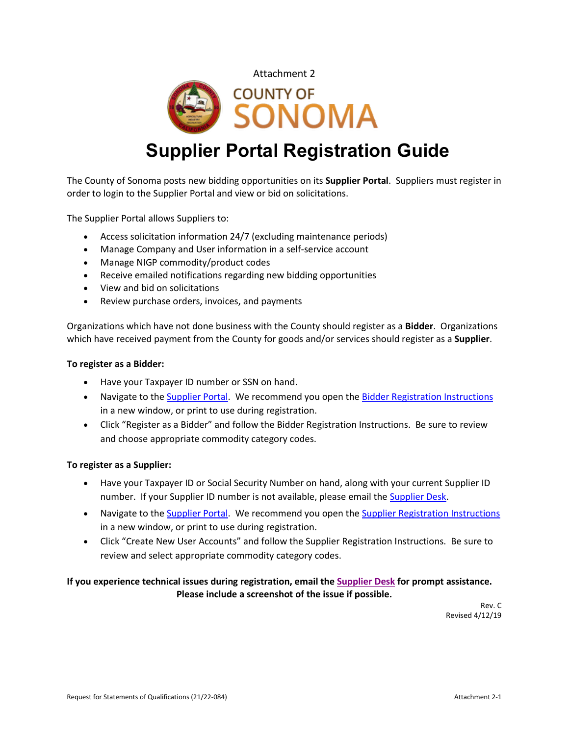



# **Supplier Portal Registration Guide**

The County of Sonoma posts new bidding opportunities on its **Supplier Portal**. Suppliers must register in order to login to the Supplier Portal and view or bid on solicitations.

The Supplier Portal allows Suppliers to:

- Access solicitation information 24/7 (excluding maintenance periods)
- Manage Company and User information in a self-service account
- Manage NIGP commodity/product codes
- Receive emailed notifications regarding new bidding opportunities
- View and bid on solicitations
- Review purchase orders, invoices, and payments

Organizations which have not done business with the County should register as a **Bidder**. Organizations which have received payment from the County for goods and/or services should register as a **Supplier**.

#### **To register as a Bidder:**

- Have your Taxpayer ID number or SSN on hand.
- Navigate to the [Supplier Portal.](https://esupplier.sonomacounty.ca.gov/) We recommend you open the [Bidder Registration](https://esupplier.sonomacounty.ca.gov/SonomaPortalDocs/Training/BidderRegistrationInstructionsADA.pdf) [Instructions](https://esupplier.sonomacounty.ca.gov/SonomaPortalDocs/Training/BidderRegistrationInstructionsADA.pdf) in a new window, or print to use during registration.
- Click "Register as a Bidder" and follow the Bidder Registration Instructions. Be sure to review and choose appropriate commodity category codes.

#### **To register as a Supplier:**

- Have your Taxpayer ID or Social Security Number on hand, along with your current Supplier ID number. If your Supplier ID number is not available, please email the [Supplier Desk.](mailto:supplier-desk@sonoma-county.org)
- Navigate to the [Supplier Portal.](https://esupplier.sonomacounty.ca.gov/) We recommend you open the [Supplier Registration](https://esupplier.sonomacounty.ca.gov/SonomaPortalDocs/Training/SupplierRegistrationInstructionsADA.pdf) [Instructions](https://esupplier.sonomacounty.ca.gov/SonomaPortalDocs/Training/SupplierRegistrationInstructionsADA.pdf) in a new window, or print to use during registration.
- Click "Create New User Accounts" and follow the Supplier Registration Instructions. Be sure to review and select appropriate commodity category codes.

#### **If you experience technical issues during registration, email th[e Supplier Desk](mailto:supplier-desk@sonoma-county.org) for prompt assistance. Please include a screenshot of the issue if possible.**

Rev. C Revised 4/12/19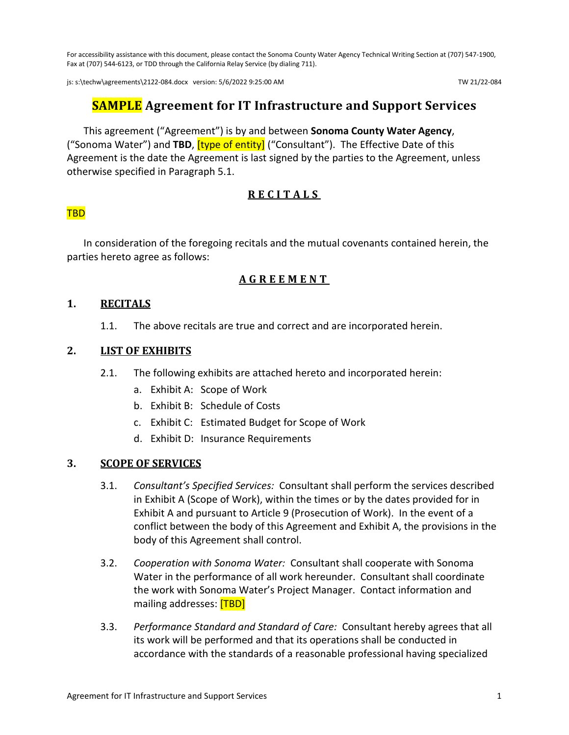For accessibility assistance with this document, please contact the Sonoma County Water Agency Technical Writing Section at (707) 547-1900, Fax at (707) 544-6123, or TDD through the California Relay Service (by dialing 711).

js: s:\techw\agreements\2122-084.docx version: 5/6/2022 9:25:00 AM TW 21/22-084

## **SAMPLE Agreement for IT Infrastructure and Support Services**

This agreement ("Agreement") is by and between **Sonoma County Water Agency**, ("Sonoma Water") and **TBD**, [type of entity] ("Consultant"). The Effective Date of this Agreement is the date the Agreement is last signed by the parties to the Agreement, unless otherwise specified in Paragraph [5.1.](#page-10-0)

## **RECITALS**

#### TBD

In consideration of the foregoing recitals and the mutual covenants contained herein, the parties hereto agree as follows:

### **AGREEMENT**

#### **1. RECITALS**

1.1. The above recitals are true and correct and are incorporated herein.

#### **2. LIST OF EXHIBITS**

- 2.1. The following exhibits are attached hereto and incorporated herein:
	- a. Exhibit A: Scope of Work
	- b. Exhibit B: Schedule of Costs
	- c. Exhibit C: Estimated Budget for Scope of Work
	- d. Exhibit D: Insurance Requirements

#### **3. SCOPE OF SERVICES**

- 3.1. *Consultant's Specified Services:* Consultant shall perform the services described in Exhibit A (Scope of Work), within the times or by the dates provided for in Exhibit A and pursuant to Article [9](#page-12-0) [\(Prosecution of Work\)](#page-12-0). In the event of a conflict between the body of this Agreement and Exhibit A, the provisions in the body of this Agreement shall control.
- <span id="page-8-0"></span>3.2. *Cooperation with Sonoma Water:* Consultant shall cooperate with Sonoma Water in the performance of all work hereunder. Consultant shall coordinate the work with Sonoma Water's Project Manager. Contact information and mailing addresses: **[TBD]**
- 3.3. *Performance Standard and Standard of Care:* Consultant hereby agrees that all its work will be performed and that its operations shall be conducted in accordance with the standards of a reasonable professional having specialized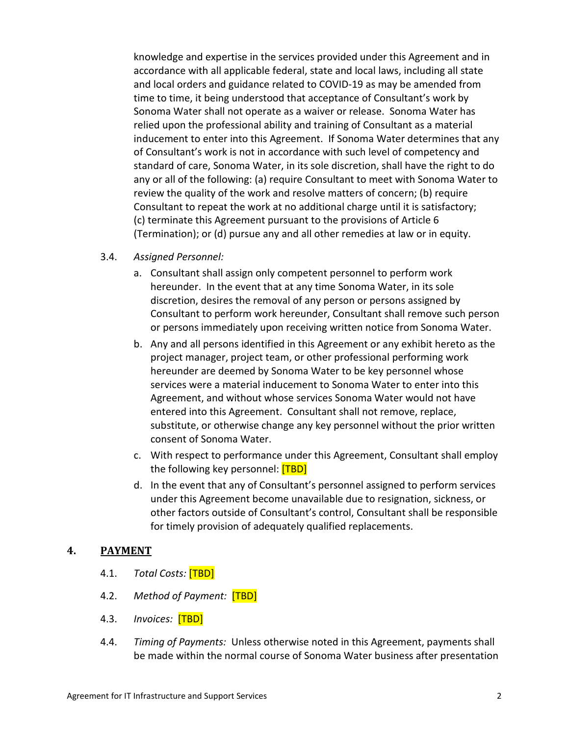knowledge and expertise in the services provided under this Agreement and in accordance with all applicable federal, state and local laws, including all state and local orders and guidance related to COVID-19 as may be amended from time to time, it being understood that acceptance of Consultant's work by Sonoma Water shall not operate as a waiver or release. Sonoma Water has relied upon the professional ability and training of Consultant as a material inducement to enter into this Agreement. If Sonoma Water determines that any of Consultant's work is not in accordance with such level of competency and standard of care, Sonoma Water, in its sole discretion, shall have the right to do any or all of the following: (a) require Consultant to meet with Sonoma Water to review the quality of the work and resolve matters of concern; (b) require Consultant to repeat the work at no additional charge until it is satisfactory; (c) terminate this Agreement pursuant to the provisions of Article [6](#page-10-1) [\(Termination\)](#page-10-1); or (d) pursue any and all other remedies at law or in equity.

#### 3.4. *Assigned Personnel:*

- a. Consultant shall assign only competent personnel to perform work hereunder. In the event that at any time Sonoma Water, in its sole discretion, desires the removal of any person or persons assigned by Consultant to perform work hereunder, Consultant shall remove such person or persons immediately upon receiving written notice from Sonoma Water.
- b. Any and all persons identified in this Agreement or any exhibit hereto as the project manager, project team, or other professional performing work hereunder are deemed by Sonoma Water to be key personnel whose services were a material inducement to Sonoma Water to enter into this Agreement, and without whose services Sonoma Water would not have entered into this Agreement. Consultant shall not remove, replace, substitute, or otherwise change any key personnel without the prior written consent of Sonoma Water.
- c. With respect to performance under this Agreement, Consultant shall employ the following key personnel: [TBD]
- d. In the event that any of Consultant's personnel assigned to perform services under this Agreement become unavailable due to resignation, sickness, or other factors outside of Consultant's control, Consultant shall be responsible for timely provision of adequately qualified replacements.

### <span id="page-9-0"></span>**4. PAYMENT**

- 4.1. *Total Costs:* [TBD]
- 4.2. *Method of Payment:* [TBD]
- 4.3. *Invoices:* [TBD]
- 4.4. *Timing of Payments:* Unless otherwise noted in this Agreement, payments shall be made within the normal course of Sonoma Water business after presentation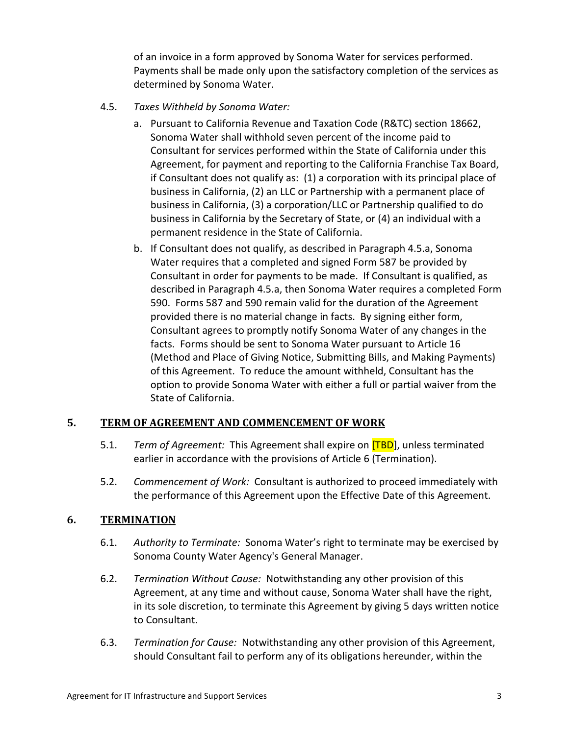of an invoice in a form approved by Sonoma Water for services performed. Payments shall be made only upon the satisfactory completion of the services as determined by Sonoma Water.

- <span id="page-10-2"></span>4.5. *Taxes Withheld by Sonoma Water:*
	- a. Pursuant to California Revenue and Taxation Code (R&TC) section 18662, Sonoma Water shall withhold seven percent of the income paid to Consultant for services performed within the State of California under this Agreement, for payment and reporting to the California Franchise Tax Board, if Consultant does not qualify as: (1) a corporation with its principal place of business in California, (2) an LLC or Partnership with a permanent place of business in California, (3) a corporation/LLC or Partnership qualified to do business in California by the Secretary of State, or (4) an individual with a permanent residence in the State of California.
	- b. If Consultant does not qualify, as described in Paragraph [4.5.a,](#page-10-2) Sonoma Water requires that a completed and signed Form 587 be provided by Consultant in order for payments to be made. If Consultant is qualified, as described in Paragraph [4.5.a,](#page-10-2) then Sonoma Water requires a completed Form 590. Forms 587 and 590 remain valid for the duration of the Agreement provided there is no material change in facts. By signing either form, Consultant agrees to promptly notify Sonoma Water of any changes in the facts. Forms should be sent to Sonoma Water pursuant to Articl[e 16](#page-20-0) [\(Method and Place of Giving Notice, Submitting Bills, and Making Payments\)](#page-20-0) of this Agreement. To reduce the amount withheld, Consultant has the option to provide Sonoma Water with either a full or partial waiver from the State of California.

### <span id="page-10-0"></span>**5. TERM OF AGREEMENT AND COMMENCEMENT OF WORK**

- 5.1. *Term of Agreement:* This Agreement shall expire on [TBD], unless terminated earlier in accordance with the provisions of Article [6](#page-10-1) [\(Termination\)](#page-10-1).
- 5.2. *Commencement of Work:* Consultant is authorized to proceed immediately with the performance of this Agreement upon the Effective Date of this Agreement.

### <span id="page-10-1"></span>**6. TERMINATION**

- 6.1. *Authority to Terminate:* Sonoma Water's right to terminate may be exercised by Sonoma County Water Agency's General Manager.
- 6.2. *Termination Without Cause:* Notwithstanding any other provision of this Agreement, at any time and without cause, Sonoma Water shall have the right, in its sole discretion, to terminate this Agreement by giving 5 days written notice to Consultant.
- <span id="page-10-3"></span>6.3. *Termination for Cause:* Notwithstanding any other provision of this Agreement, should Consultant fail to perform any of its obligations hereunder, within the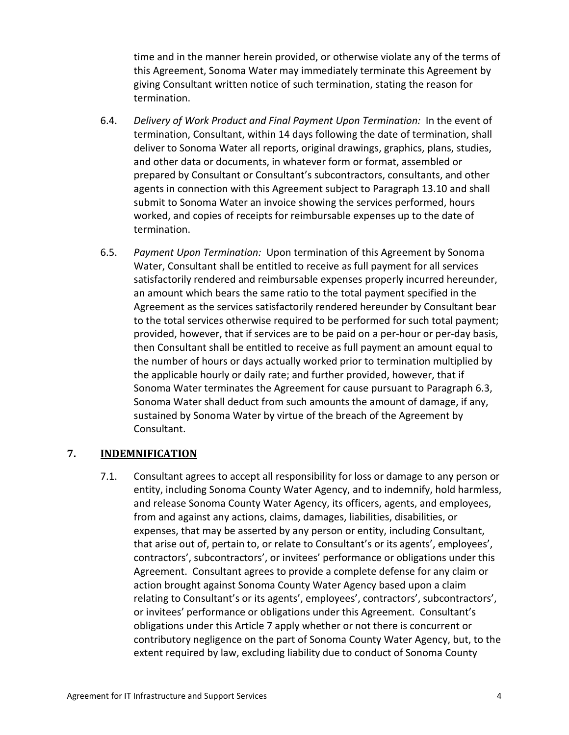time and in the manner herein provided, or otherwise violate any of the terms of this Agreement, Sonoma Water may immediately terminate this Agreement by giving Consultant written notice of such termination, stating the reason for termination.

- 6.4. *Delivery of Work Product and Final Payment Upon Termination:* In the event of termination, Consultant, within 14 days following the date of termination, shall deliver to Sonoma Water all reports, original drawings, graphics, plans, studies, and other data or documents, in whatever form or format, assembled or prepared by Consultant or Consultant's subcontractors, consultants, and other agents in connection with this Agreement subject to Paragraph [13.10](#page-18-0) and shall submit to Sonoma Water an invoice showing the services performed, hours worked, and copies of receipts for reimbursable expenses up to the date of termination.
- 6.5. *Payment Upon Termination:* Upon termination of this Agreement by Sonoma Water, Consultant shall be entitled to receive as full payment for all services satisfactorily rendered and reimbursable expenses properly incurred hereunder, an amount which bears the same ratio to the total payment specified in the Agreement as the services satisfactorily rendered hereunder by Consultant bear to the total services otherwise required to be performed for such total payment; provided, however, that if services are to be paid on a per-hour or per-day basis, then Consultant shall be entitled to receive as full payment an amount equal to the number of hours or days actually worked prior to termination multiplied by the applicable hourly or daily rate; and further provided, however, that if Sonoma Water terminates the Agreement for cause pursuant to Paragraph [6.3,](#page-10-3) Sonoma Water shall deduct from such amounts the amount of damage, if any, sustained by Sonoma Water by virtue of the breach of the Agreement by Consultant.

### <span id="page-11-0"></span>**7. INDEMNIFICATION**

7.1. Consultant agrees to accept all responsibility for loss or damage to any person or entity, including Sonoma County Water Agency, and to indemnify, hold harmless, and release Sonoma County Water Agency, its officers, agents, and employees, from and against any actions, claims, damages, liabilities, disabilities, or expenses, that may be asserted by any person or entity, including Consultant, that arise out of, pertain to, or relate to Consultant's or its agents', employees', contractors', subcontractors', or invitees' performance or obligations under this Agreement. Consultant agrees to provide a complete defense for any claim or action brought against Sonoma County Water Agency based upon a claim relating to Consultant's or its agents', employees', contractors', subcontractors', or invitees' performance or obligations under this Agreement. Consultant's obligations under this Article [7](#page-11-0) apply whether or not there is concurrent or contributory negligence on the part of Sonoma County Water Agency, but, to the extent required by law, excluding liability due to conduct of Sonoma County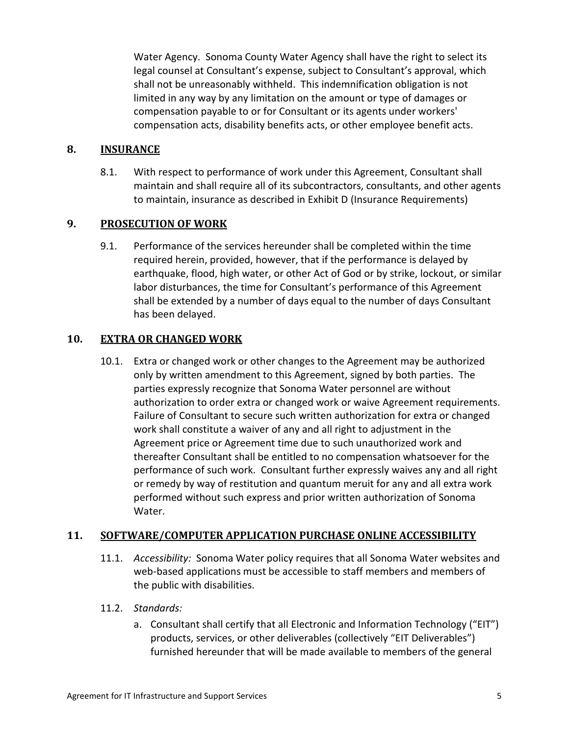Water Agency. Sonoma County Water Agency shall have the right to select its legal counsel at Consultant's expense, subject to Consultant's approval, which shall not be unreasonably withheld. This indemnification obligation is not limited in any way by any limitation on the amount or type of damages or compensation payable to or for Consultant or its agents under workers' compensation acts, disability benefits acts, or other employee benefit acts.

#### **8. INSURANCE**

8.1. With respect to performance of work under this Agreement, Consultant shall maintain and shall require all of its subcontractors, consultants, and other agents to maintain, insurance as described in Exhibit D (Insurance Requirements)

### <span id="page-12-0"></span>**9. PROSECUTION OF WORK**

9.1. Performance of the services hereunder shall be completed within the time required herein, provided, however, that if the performance is delayed by earthquake, flood, high water, or other Act of God or by strike, lockout, or similar labor disturbances, the time for Consultant's performance of this Agreement shall be extended by a number of days equal to the number of days Consultant has been delayed.

### **10. EXTRA OR CHANGED WORK**

10.1. Extra or changed work or other changes to the Agreement may be authorized only by written amendment to this Agreement, signed by both parties. The parties expressly recognize that Sonoma Water personnel are without authorization to order extra or changed work or waive Agreement requirements. Failure of Consultant to secure such written authorization for extra or changed work shall constitute a waiver of any and all right to adjustment in the Agreement price or Agreement time due to such unauthorized work and thereafter Consultant shall be entitled to no compensation whatsoever for the performance of such work. Consultant further expressly waives any and all right or remedy by way of restitution and quantum meruit for any and all extra work performed without such express and prior written authorization of Sonoma Water.

#### <span id="page-12-1"></span>**11. SOFTWARE/COMPUTER APPLICATION PURCHASE ONLINE ACCESSIBILITY**

- 11.1. *Accessibility:* Sonoma Water policy requires that all Sonoma Water websites and web-based applications must be accessible to staff members and members of the public with disabilities.
- 11.2. *Standards:*
	- a. Consultant shall certify that all Electronic and Information Technology ("EIT") products, services, or other deliverables (collectively "EIT Deliverables") furnished hereunder that will be made available to members of the general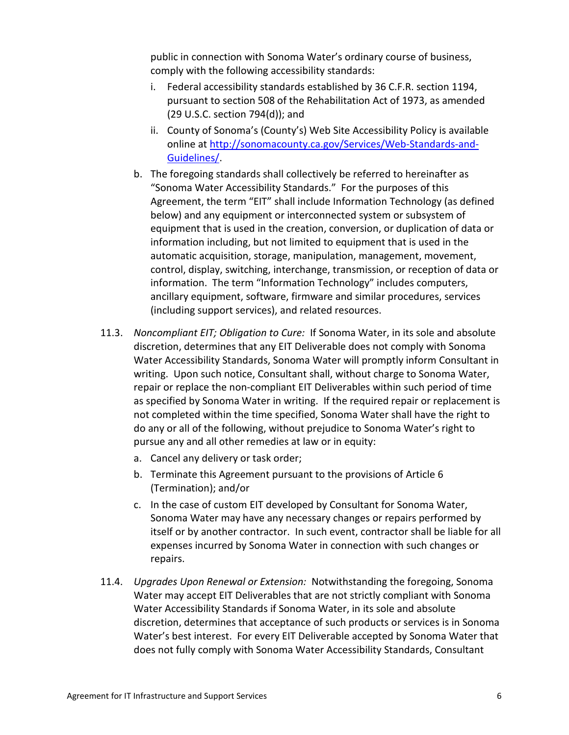public in connection with Sonoma Water's ordinary course of business, comply with the following accessibility standards:

- i. Federal accessibility standards established by 36 C.F.R. section 1194, pursuant to section 508 of the Rehabilitation Act of 1973, as amended (29 U.S.C. section 794(d)); and
- ii. County of Sonoma's (County's) Web Site Accessibility Policy is available online at [http://sonomacounty.ca.gov/Services/Web-Standards-and-](http://sonomacounty.ca.gov/Services/Web-Standards-and-Guidelines/)[Guidelines/.](http://sonomacounty.ca.gov/Services/Web-Standards-and-Guidelines/)
- b. The foregoing standards shall collectively be referred to hereinafter as "Sonoma Water Accessibility Standards." For the purposes of this Agreement, the term "EIT" shall include Information Technology (as defined below) and any equipment or interconnected system or subsystem of equipment that is used in the creation, conversion, or duplication of data or information including, but not limited to equipment that is used in the automatic acquisition, storage, manipulation, management, movement, control, display, switching, interchange, transmission, or reception of data or information. The term "Information Technology" includes computers, ancillary equipment, software, firmware and similar procedures, services (including support services), and related resources.
- 11.3. *Noncompliant EIT; Obligation to Cure:* If Sonoma Water, in its sole and absolute discretion, determines that any EIT Deliverable does not comply with Sonoma Water Accessibility Standards, Sonoma Water will promptly inform Consultant in writing. Upon such notice, Consultant shall, without charge to Sonoma Water, repair or replace the non-compliant EIT Deliverables within such period of time as specified by Sonoma Water in writing. If the required repair or replacement is not completed within the time specified, Sonoma Water shall have the right to do any or all of the following, without prejudice to Sonoma Water's right to pursue any and all other remedies at law or in equity:
	- a. Cancel any delivery or task order;
	- b. Terminate this Agreement pursuant to the provisions of Article [6](#page-10-1) [\(Termination\)](#page-10-1); and/or
	- c. In the case of custom EIT developed by Consultant for Sonoma Water, Sonoma Water may have any necessary changes or repairs performed by itself or by another contractor. In such event, contractor shall be liable for all expenses incurred by Sonoma Water in connection with such changes or repairs.
- 11.4. *Upgrades Upon Renewal or Extension:* Notwithstanding the foregoing, Sonoma Water may accept EIT Deliverables that are not strictly compliant with Sonoma Water Accessibility Standards if Sonoma Water, in its sole and absolute discretion, determines that acceptance of such products or services is in Sonoma Water's best interest. For every EIT Deliverable accepted by Sonoma Water that does not fully comply with Sonoma Water Accessibility Standards, Consultant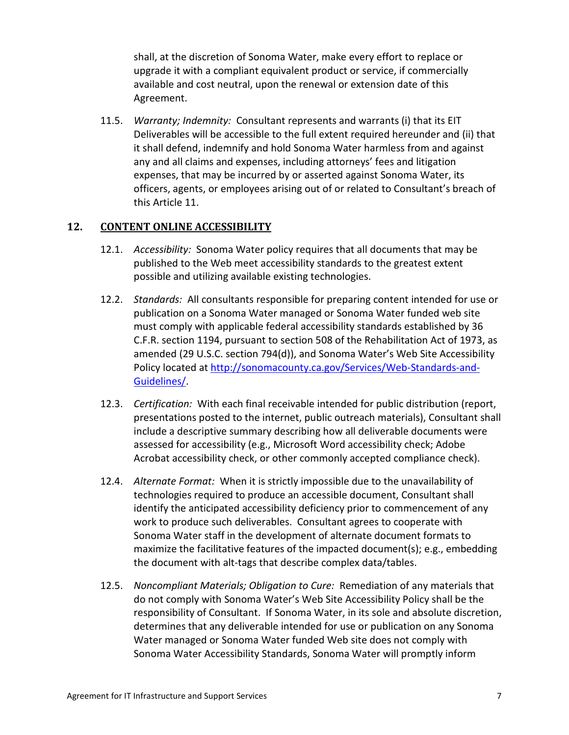shall, at the discretion of Sonoma Water, make every effort to replace or upgrade it with a compliant equivalent product or service, if commercially available and cost neutral, upon the renewal or extension date of this Agreement.

11.5. *Warranty; Indemnity:* Consultant represents and warrants (i) that its EIT Deliverables will be accessible to the full extent required hereunder and (ii) that it shall defend, indemnify and hold Sonoma Water harmless from and against any and all claims and expenses, including attorneys' fees and litigation expenses, that may be incurred by or asserted against Sonoma Water, its officers, agents, or employees arising out of or related to Consultant's breach of this Article [11.](#page-12-1)

### <span id="page-14-0"></span>**12. CONTENT ONLINE ACCESSIBILITY**

- 12.1. *Accessibility:* Sonoma Water policy requires that all documents that may be published to the Web meet accessibility standards to the greatest extent possible and utilizing available existing technologies.
- 12.2. *Standards:* All consultants responsible for preparing content intended for use or publication on a Sonoma Water managed or Sonoma Water funded web site must comply with applicable federal accessibility standards established by 36 C.F.R. section 1194, pursuant to section 508 of the Rehabilitation Act of 1973, as amended (29 U.S.C. section 794(d)), and Sonoma Water's Web Site Accessibility Policy located at [http://sonomacounty.ca.gov/Services/Web-Standards-and-](http://sonomacounty.ca.gov/Services/Web-Standards-and-Guidelines/)[Guidelines/.](http://sonomacounty.ca.gov/Services/Web-Standards-and-Guidelines/)
- 12.3. *Certification:* With each final receivable intended for public distribution (report, presentations posted to the internet, public outreach materials), Consultant shall include a descriptive summary describing how all deliverable documents were assessed for accessibility (e.g., Microsoft Word accessibility check; Adobe Acrobat accessibility check, or other commonly accepted compliance check).
- 12.4. *Alternate Format:* When it is strictly impossible due to the unavailability of technologies required to produce an accessible document, Consultant shall identify the anticipated accessibility deficiency prior to commencement of any work to produce such deliverables. Consultant agrees to cooperate with Sonoma Water staff in the development of alternate document formats to maximize the facilitative features of the impacted document(s); e.g., embedding the document with alt-tags that describe complex data/tables.
- 12.5. *Noncompliant Materials; Obligation to Cure:* Remediation of any materials that do not comply with Sonoma Water's Web Site Accessibility Policy shall be the responsibility of Consultant. If Sonoma Water, in its sole and absolute discretion, determines that any deliverable intended for use or publication on any Sonoma Water managed or Sonoma Water funded Web site does not comply with Sonoma Water Accessibility Standards, Sonoma Water will promptly inform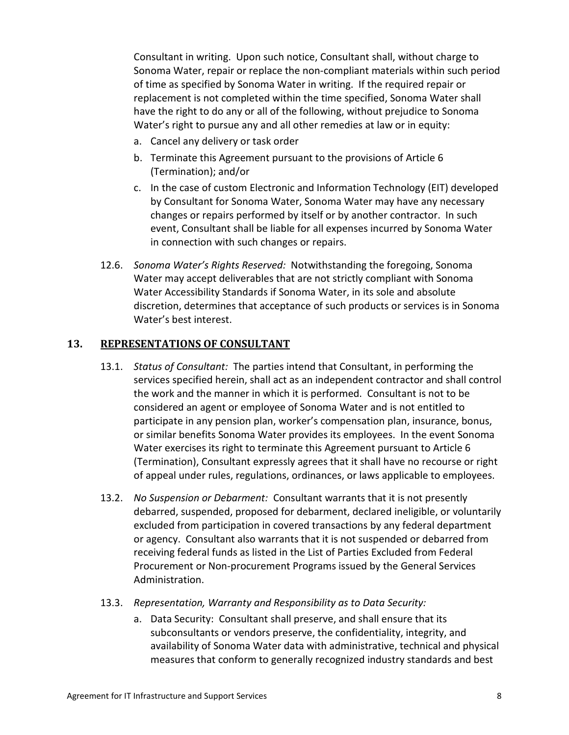Consultant in writing. Upon such notice, Consultant shall, without charge to Sonoma Water, repair or replace the non-compliant materials within such period of time as specified by Sonoma Water in writing. If the required repair or replacement is not completed within the time specified, Sonoma Water shall have the right to do any or all of the following, without prejudice to Sonoma Water's right to pursue any and all other remedies at law or in equity:

- a. Cancel any delivery or task order
- b. Terminate this Agreement pursuant to the provisions of Article [6](#page-10-1) [\(Termination\)](#page-10-1); and/or
- c. In the case of custom Electronic and Information Technology (EIT) developed by Consultant for Sonoma Water, Sonoma Water may have any necessary changes or repairs performed by itself or by another contractor. In such event, Consultant shall be liable for all expenses incurred by Sonoma Water in connection with such changes or repairs.
- 12.6. *Sonoma Water's Rights Reserved:* Notwithstanding the foregoing, Sonoma Water may accept deliverables that are not strictly compliant with Sonoma Water Accessibility Standards if Sonoma Water, in its sole and absolute discretion, determines that acceptance of such products or services is in Sonoma Water's best interest.

#### **13. REPRESENTATIONS OF CONSULTANT**

- 13.1. *Status of Consultant:* The parties intend that Consultant, in performing the services specified herein, shall act as an independent contractor and shall control the work and the manner in which it is performed. Consultant is not to be considered an agent or employee of Sonoma Water and is not entitled to participate in any pension plan, worker's compensation plan, insurance, bonus, or similar benefits Sonoma Water provides its employees. In the event Sonoma Water exercises its right to terminate this Agreement pursuant to Article [6](#page-10-1) [\(Termination\)](#page-10-1), Consultant expressly agrees that it shall have no recourse or right of appeal under rules, regulations, ordinances, or laws applicable to employees.
- 13.2. *No Suspension or Debarment:* Consultant warrants that it is not presently debarred, suspended, proposed for debarment, declared ineligible, or voluntarily excluded from participation in covered transactions by any federal department or agency. Consultant also warrants that it is not suspended or debarred from receiving federal funds as listed in the List of Parties Excluded from Federal Procurement or Non-procurement Programs issued by the General Services Administration.
- 13.3. *Representation, Warranty and Responsibility as to Data Security:*
	- a. Data Security: Consultant shall preserve, and shall ensure that its subconsultants or vendors preserve, the confidentiality, integrity, and availability of Sonoma Water data with administrative, technical and physical measures that conform to generally recognized industry standards and best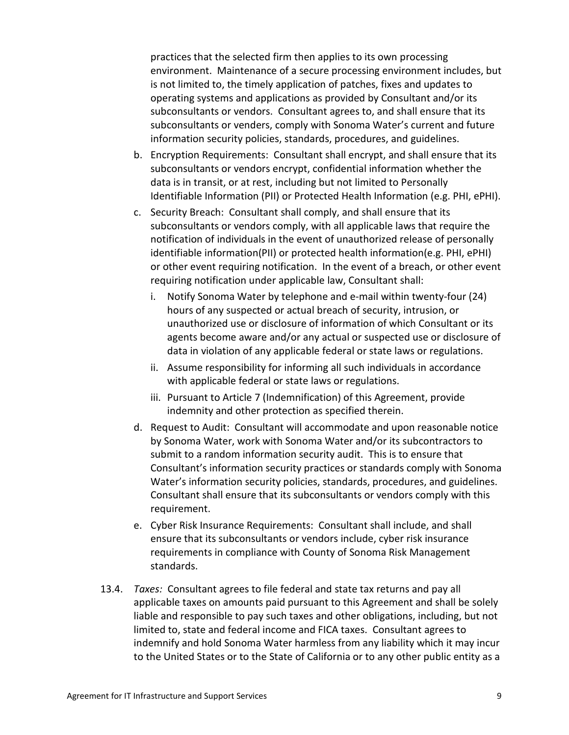practices that the selected firm then applies to its own processing environment. Maintenance of a secure processing environment includes, but is not limited to, the timely application of patches, fixes and updates to operating systems and applications as provided by Consultant and/or its subconsultants or vendors. Consultant agrees to, and shall ensure that its subconsultants or venders, comply with Sonoma Water's current and future information security policies, standards, procedures, and guidelines.

- b. Encryption Requirements: Consultant shall encrypt, and shall ensure that its subconsultants or vendors encrypt, confidential information whether the data is in transit, or at rest, including but not limited to Personally Identifiable Information (PII) or Protected Health Information (e.g. PHI, ePHI).
- c. Security Breach: Consultant shall comply, and shall ensure that its subconsultants or vendors comply, with all applicable laws that require the notification of individuals in the event of unauthorized release of personally identifiable information(PII) or protected health information(e.g. PHI, ePHI) or other event requiring notification. In the event of a breach, or other event requiring notification under applicable law, Consultant shall:
	- i. Notify Sonoma Water by telephone and e-mail within twenty-four (24) hours of any suspected or actual breach of security, intrusion, or unauthorized use or disclosure of information of which Consultant or its agents become aware and/or any actual or suspected use or disclosure of data in violation of any applicable federal or state laws or regulations.
	- ii. Assume responsibility for informing all such individuals in accordance with applicable federal or state laws or regulations.
	- iii. Pursuant to Article [7](#page-11-0) [\(Indemnification\)](#page-11-0) of this Agreement, provide indemnity and other protection as specified therein.
- d. Request to Audit: Consultant will accommodate and upon reasonable notice by Sonoma Water, work with Sonoma Water and/or its subcontractors to submit to a random information security audit. This is to ensure that Consultant's information security practices or standards comply with Sonoma Water's information security policies, standards, procedures, and guidelines. Consultant shall ensure that its subconsultants or vendors comply with this requirement.
- e. Cyber Risk Insurance Requirements: Consultant shall include, and shall ensure that its subconsultants or vendors include, cyber risk insurance requirements in compliance with County of Sonoma Risk Management standards.
- 13.4. *Taxes:* Consultant agrees to file federal and state tax returns and pay all applicable taxes on amounts paid pursuant to this Agreement and shall be solely liable and responsible to pay such taxes and other obligations, including, but not limited to, state and federal income and FICA taxes. Consultant agrees to indemnify and hold Sonoma Water harmless from any liability which it may incur to the United States or to the State of California or to any other public entity as a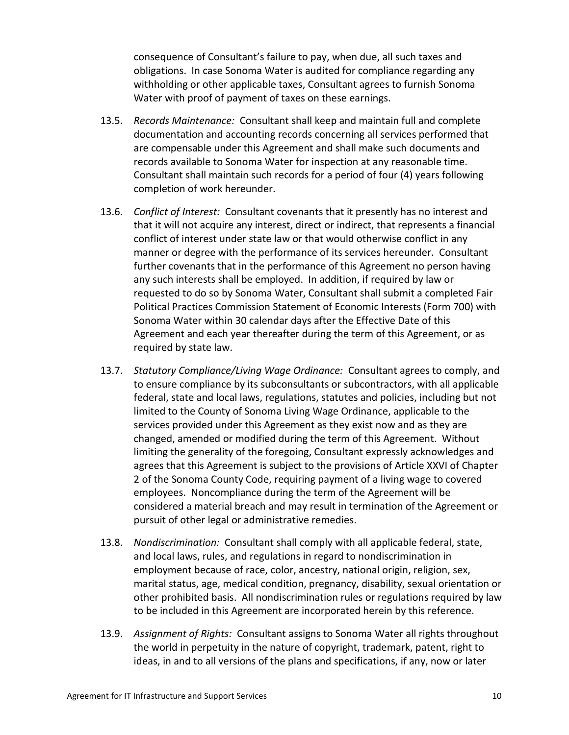consequence of Consultant's failure to pay, when due, all such taxes and obligations. In case Sonoma Water is audited for compliance regarding any withholding or other applicable taxes, Consultant agrees to furnish Sonoma Water with proof of payment of taxes on these earnings.

- 13.5. *Records Maintenance:* Consultant shall keep and maintain full and complete documentation and accounting records concerning all services performed that are compensable under this Agreement and shall make such documents and records available to Sonoma Water for inspection at any reasonable time. Consultant shall maintain such records for a period of four (4) years following completion of work hereunder.
- 13.6. *Conflict of Interest:* Consultant covenants that it presently has no interest and that it will not acquire any interest, direct or indirect, that represents a financial conflict of interest under state law or that would otherwise conflict in any manner or degree with the performance of its services hereunder. Consultant further covenants that in the performance of this Agreement no person having any such interests shall be employed. In addition, if required by law or requested to do so by Sonoma Water, Consultant shall submit a completed Fair Political Practices Commission Statement of Economic Interests (Form 700) with Sonoma Water within 30 calendar days after the Effective Date of this Agreement and each year thereafter during the term of this Agreement, or as required by state law.
- 13.7. *Statutory Compliance/Living Wage Ordinance:* Consultant agrees to comply, and to ensure compliance by its subconsultants or subcontractors, with all applicable federal, state and local laws, regulations, statutes and policies, including but not limited to the County of Sonoma Living Wage Ordinance, applicable to the services provided under this Agreement as they exist now and as they are changed, amended or modified during the term of this Agreement. Without limiting the generality of the foregoing, Consultant expressly acknowledges and agrees that this Agreement is subject to the provisions of Article XXVI of Chapter 2 of the Sonoma County Code, requiring payment of a living wage to covered employees. Noncompliance during the term of the Agreement will be considered a material breach and may result in termination of the Agreement or pursuit of other legal or administrative remedies.
- 13.8. *Nondiscrimination:* Consultant shall comply with all applicable federal, state, and local laws, rules, and regulations in regard to nondiscrimination in employment because of race, color, ancestry, national origin, religion, sex, marital status, age, medical condition, pregnancy, disability, sexual orientation or other prohibited basis. All nondiscrimination rules or regulations required by law to be included in this Agreement are incorporated herein by this reference.
- 13.9. *Assignment of Rights:* Consultant assigns to Sonoma Water all rights throughout the world in perpetuity in the nature of copyright, trademark, patent, right to ideas, in and to all versions of the plans and specifications, if any, now or later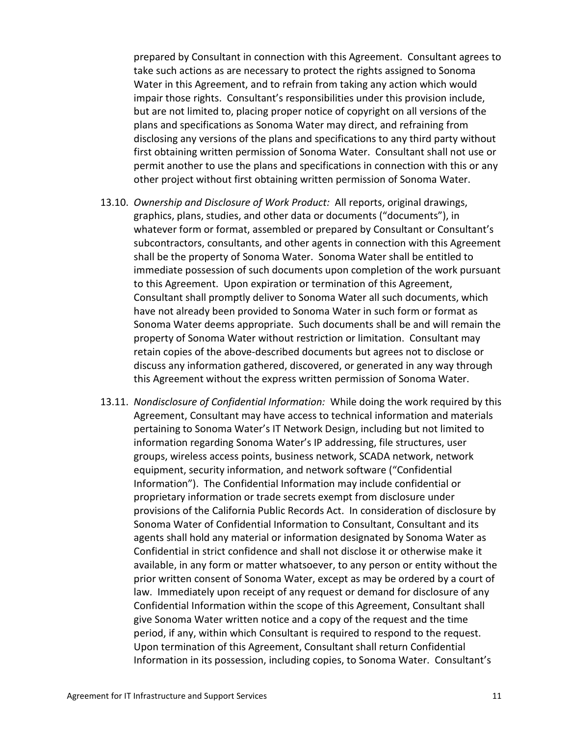prepared by Consultant in connection with this Agreement. Consultant agrees to take such actions as are necessary to protect the rights assigned to Sonoma Water in this Agreement, and to refrain from taking any action which would impair those rights. Consultant's responsibilities under this provision include, but are not limited to, placing proper notice of copyright on all versions of the plans and specifications as Sonoma Water may direct, and refraining from disclosing any versions of the plans and specifications to any third party without first obtaining written permission of Sonoma Water. Consultant shall not use or permit another to use the plans and specifications in connection with this or any other project without first obtaining written permission of Sonoma Water.

- <span id="page-18-0"></span>13.10. *Ownership and Disclosure of Work Product:* All reports, original drawings, graphics, plans, studies, and other data or documents ("documents"), in whatever form or format, assembled or prepared by Consultant or Consultant's subcontractors, consultants, and other agents in connection with this Agreement shall be the property of Sonoma Water. Sonoma Water shall be entitled to immediate possession of such documents upon completion of the work pursuant to this Agreement. Upon expiration or termination of this Agreement, Consultant shall promptly deliver to Sonoma Water all such documents, which have not already been provided to Sonoma Water in such form or format as Sonoma Water deems appropriate. Such documents shall be and will remain the property of Sonoma Water without restriction or limitation. Consultant may retain copies of the above-described documents but agrees not to disclose or discuss any information gathered, discovered, or generated in any way through this Agreement without the express written permission of Sonoma Water.
- 13.11. *Nondisclosure of Confidential Information:* While doing the work required by this Agreement, Consultant may have access to technical information and materials pertaining to Sonoma Water's IT Network Design, including but not limited to information regarding Sonoma Water's IP addressing, file structures, user groups, wireless access points, business network, SCADA network, network equipment, security information, and network software ("Confidential Information"). The Confidential Information may include confidential or proprietary information or trade secrets exempt from disclosure under provisions of the California Public Records Act. In consideration of disclosure by Sonoma Water of Confidential Information to Consultant, Consultant and its agents shall hold any material or information designated by Sonoma Water as Confidential in strict confidence and shall not disclose it or otherwise make it available, in any form or matter whatsoever, to any person or entity without the prior written consent of Sonoma Water, except as may be ordered by a court of law. Immediately upon receipt of any request or demand for disclosure of any Confidential Information within the scope of this Agreement, Consultant shall give Sonoma Water written notice and a copy of the request and the time period, if any, within which Consultant is required to respond to the request. Upon termination of this Agreement, Consultant shall return Confidential Information in its possession, including copies, to Sonoma Water. Consultant's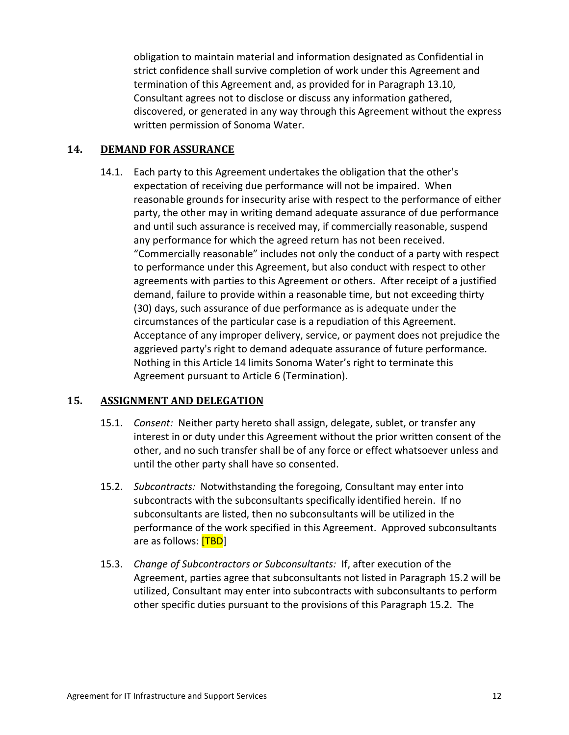obligation to maintain material and information designated as Confidential in strict confidence shall survive completion of work under this Agreement and termination of this Agreement and, as provided for in Paragraph [13.10,](#page-18-0) Consultant agrees not to disclose or discuss any information gathered, discovered, or generated in any way through this Agreement without the express written permission of Sonoma Water.

### <span id="page-19-0"></span>**14. DEMAND FOR ASSURANCE**

14.1. Each party to this Agreement undertakes the obligation that the other's expectation of receiving due performance will not be impaired. When reasonable grounds for insecurity arise with respect to the performance of either party, the other may in writing demand adequate assurance of due performance and until such assurance is received may, if commercially reasonable, suspend any performance for which the agreed return has not been received. "Commercially reasonable" includes not only the conduct of a party with respect to performance under this Agreement, but also conduct with respect to other agreements with parties to this Agreement or others. After receipt of a justified demand, failure to provide within a reasonable time, but not exceeding thirty (30) days, such assurance of due performance as is adequate under the circumstances of the particular case is a repudiation of this Agreement. Acceptance of any improper delivery, service, or payment does not prejudice the aggrieved party's right to demand adequate assurance of future performance. Nothing in this Article [14](#page-19-0) limits Sonoma Water's right to terminate this Agreement pursuant to Article [6](#page-10-1) [\(Termination\)](#page-10-1).

### **15. ASSIGNMENT AND DELEGATION**

- 15.1. *Consent:* Neither party hereto shall assign, delegate, sublet, or transfer any interest in or duty under this Agreement without the prior written consent of the other, and no such transfer shall be of any force or effect whatsoever unless and until the other party shall have so consented.
- <span id="page-19-2"></span><span id="page-19-1"></span>15.2. *Subcontracts:* Notwithstanding the foregoing, Consultant may enter into subcontracts with the subconsultants specifically identified herein. If no subconsultants are listed, then no subconsultants will be utilized in the performance of the work specified in this Agreement. Approved subconsultants are as follows: **[TBD**]
- 15.3. *Change of Subcontractors or Subconsultants:* If, after execution of the Agreement, parties agree that subconsultants not listed in Paragraph [15.2](#page-19-1) will be utilized, Consultant may enter into subcontracts with subconsultants to perform other specific duties pursuant to the provisions of this Paragraph [15.2.](#page-19-2) The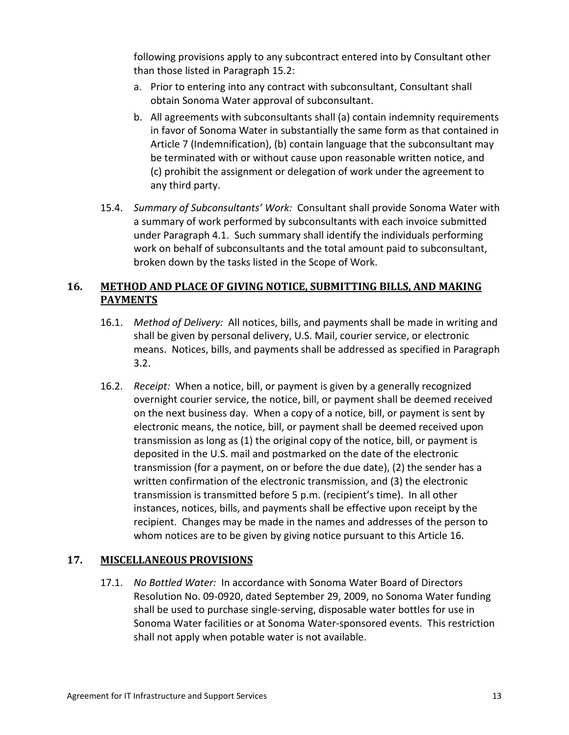following provisions apply to any subcontract entered into by Consultant other than those listed in Paragraph [15.2:](#page-19-1)

- a. Prior to entering into any contract with subconsultant, Consultant shall obtain Sonoma Water approval of subconsultant.
- b. All agreements with subconsultants shall (a) contain indemnity requirements in favor of Sonoma Water in substantially the same form as that contained in Article [7](#page-11-0) [\(Indemnification\)](#page-11-0), (b) contain language that the subconsultant may be terminated with or without cause upon reasonable written notice, and (c) prohibit the assignment or delegation of work under the agreement to any third party.
- 15.4. *Summary of Subconsultants' Work:* Consultant shall provide Sonoma Water with a summary of work performed by subconsultants with each invoice submitted under Paragraph [4.1.](#page-9-0) Such summary shall identify the individuals performing work on behalf of subconsultants and the total amount paid to subconsultant, broken down by the tasks listed in the Scope of Work.

## <span id="page-20-0"></span>**16. METHOD AND PLACE OF GIVING NOTICE, SUBMITTING BILLS, AND MAKING PAYMENTS**

- 16.1. *Method of Delivery:* All notices, bills, and payments shall be made in writing and shall be given by personal delivery, U.S. Mail, courier service, or electronic means. Notices, bills, and payments shall be addressed as specified in Paragraph [3.2.](#page-8-0)
- 16.2. *Receipt:* When a notice, bill, or payment is given by a generally recognized overnight courier service, the notice, bill, or payment shall be deemed received on the next business day. When a copy of a notice, bill, or payment is sent by electronic means, the notice, bill, or payment shall be deemed received upon transmission as long as (1) the original copy of the notice, bill, or payment is deposited in the U.S. mail and postmarked on the date of the electronic transmission (for a payment, on or before the due date), (2) the sender has a written confirmation of the electronic transmission, and (3) the electronic transmission is transmitted before 5 p.m. (recipient's time). In all other instances, notices, bills, and payments shall be effective upon receipt by the recipient. Changes may be made in the names and addresses of the person to whom notices are to be given by giving notice pursuant to this Article [16.](#page-20-0)

### **17. MISCELLANEOUS PROVISIONS**

17.1. *No Bottled Water:* In accordance with Sonoma Water Board of Directors Resolution No. 09-0920, dated September 29, 2009, no Sonoma Water funding shall be used to purchase single-serving, disposable water bottles for use in Sonoma Water facilities or at Sonoma Water-sponsored events. This restriction shall not apply when potable water is not available.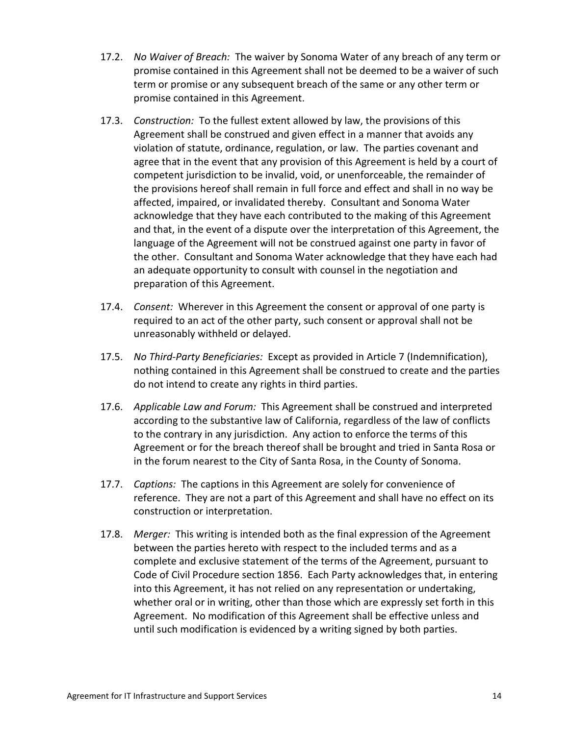- 17.2. *No Waiver of Breach:* The waiver by Sonoma Water of any breach of any term or promise contained in this Agreement shall not be deemed to be a waiver of such term or promise or any subsequent breach of the same or any other term or promise contained in this Agreement.
- 17.3. *Construction:* To the fullest extent allowed by law, the provisions of this Agreement shall be construed and given effect in a manner that avoids any violation of statute, ordinance, regulation, or law. The parties covenant and agree that in the event that any provision of this Agreement is held by a court of competent jurisdiction to be invalid, void, or unenforceable, the remainder of the provisions hereof shall remain in full force and effect and shall in no way be affected, impaired, or invalidated thereby. Consultant and Sonoma Water acknowledge that they have each contributed to the making of this Agreement and that, in the event of a dispute over the interpretation of this Agreement, the language of the Agreement will not be construed against one party in favor of the other. Consultant and Sonoma Water acknowledge that they have each had an adequate opportunity to consult with counsel in the negotiation and preparation of this Agreement.
- 17.4. *Consent:* Wherever in this Agreement the consent or approval of one party is required to an act of the other party, such consent or approval shall not be unreasonably withheld or delayed.
- 17.5. *No Third-Party Beneficiaries:* Except as provided in Article [7](#page-11-0) [\(Indemnification\)](#page-11-0), nothing contained in this Agreement shall be construed to create and the parties do not intend to create any rights in third parties.
- 17.6. *Applicable Law and Forum:* This Agreement shall be construed and interpreted according to the substantive law of California, regardless of the law of conflicts to the contrary in any jurisdiction. Any action to enforce the terms of this Agreement or for the breach thereof shall be brought and tried in Santa Rosa or in the forum nearest to the City of Santa Rosa, in the County of Sonoma.
- 17.7. *Captions:* The captions in this Agreement are solely for convenience of reference. They are not a part of this Agreement and shall have no effect on its construction or interpretation.
- 17.8. *Merger:* This writing is intended both as the final expression of the Agreement between the parties hereto with respect to the included terms and as a complete and exclusive statement of the terms of the Agreement, pursuant to Code of Civil Procedure section 1856. Each Party acknowledges that, in entering into this Agreement, it has not relied on any representation or undertaking, whether oral or in writing, other than those which are expressly set forth in this Agreement. No modification of this Agreement shall be effective unless and until such modification is evidenced by a writing signed by both parties.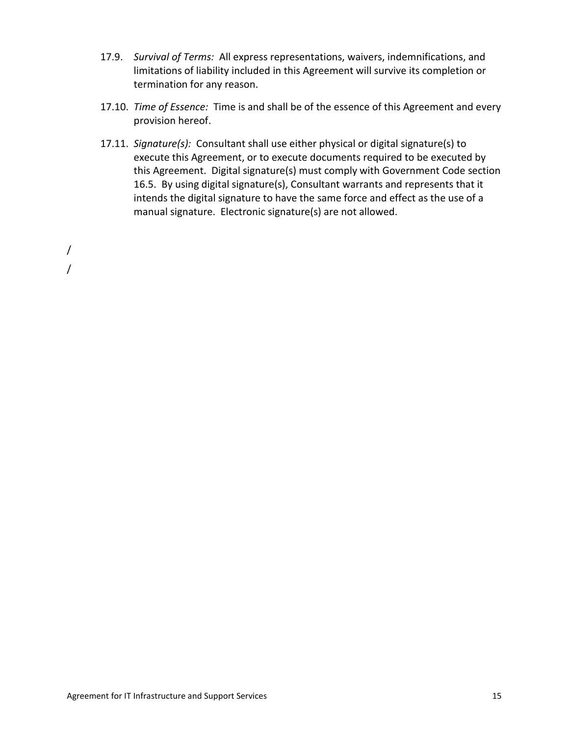- 17.9. *Survival of Terms:* All express representations, waivers, indemnifications, and limitations of liability included in this Agreement will survive its completion or termination for any reason.
- 17.10. *Time of Essence:* Time is and shall be of the essence of this Agreement and every provision hereof.
- 17.11. *Signature(s):* Consultant shall use either physical or digital signature(s) to execute this Agreement, or to execute documents required to be executed by this Agreement. Digital signature(s) must comply with Government Code section 16.5. By using digital signature(s), Consultant warrants and represents that it intends the digital signature to have the same force and effect as the use of a manual signature. Electronic signature(s) are not allowed.

/ /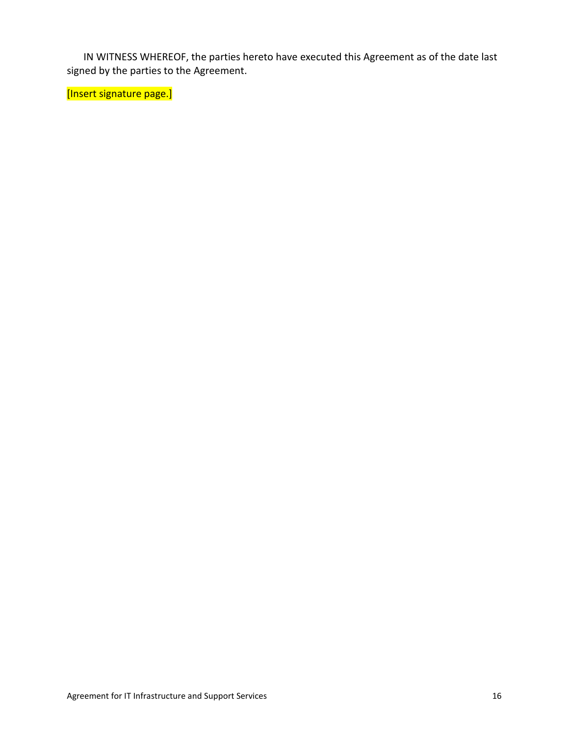IN WITNESS WHEREOF, the parties hereto have executed this Agreement as of the date last signed by the parties to the Agreement.

[Insert signature page.]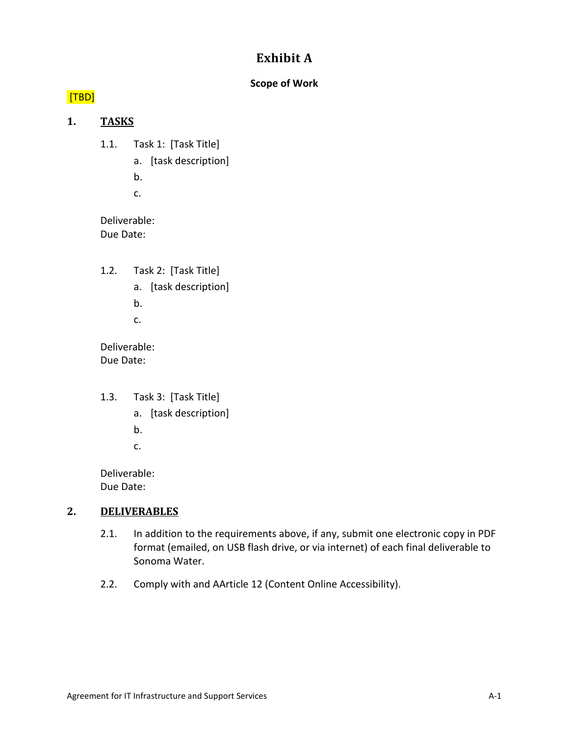# **Exhibit A**

#### **Scope of Work**

## [TBD]

### **1. TASKS**

- 1.1. Task 1: [Task Title]
	- a. [task description]
	- b.
	- c.

Deliverable: Due Date:

- 1.2. Task 2: [Task Title]
	- a. [task description]
	- b.
	- c.

Deliverable: Due Date:

- 1.3. Task 3: [Task Title]
	- a. [task description]
	- b.
	- c.

Deliverable: Due Date:

### **2. DELIVERABLES**

- 2.1. In addition to the requirements above, if any, submit one electronic copy in PDF format (emailed, on USB flash drive, or via internet) of each final deliverable to Sonoma Water.
- 2.2. Comply with and AArticle [12](#page-14-0) [\(Content Online Accessibility\)](#page-14-0).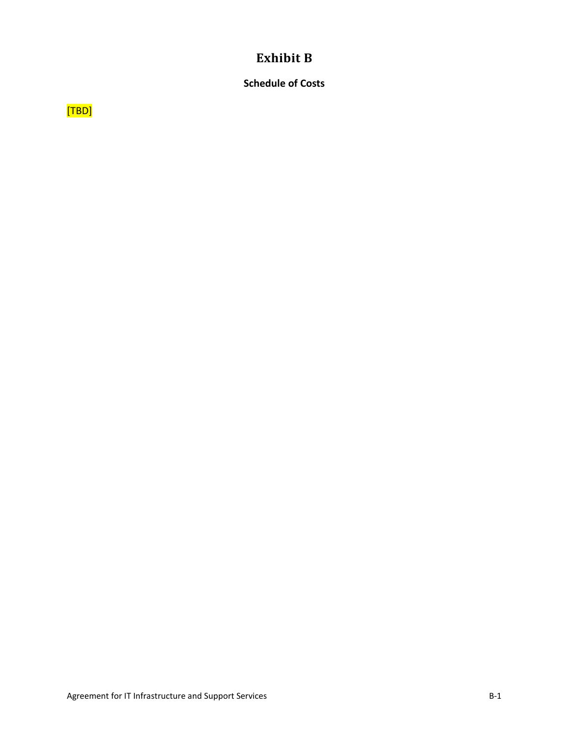## **Exhibit B**

## **Schedule of Costs**

[TBD]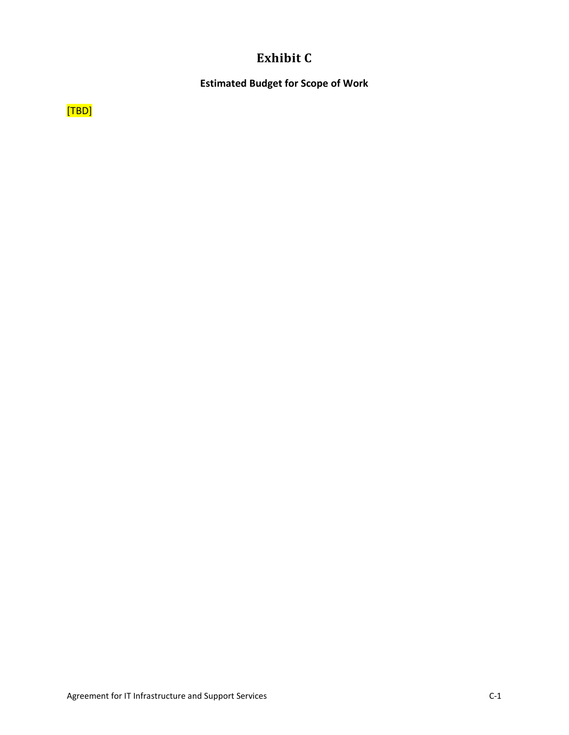# **Exhibit C**

**Estimated Budget for Scope of Work**

[TBD]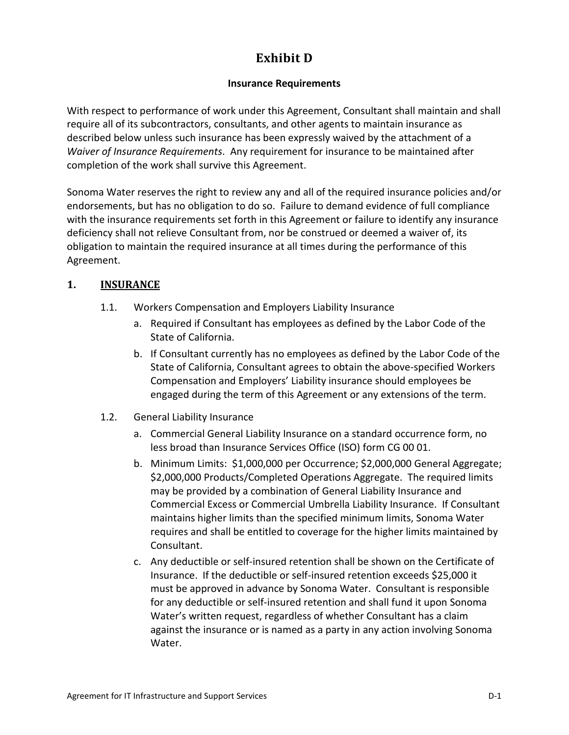# **Exhibit D**

### **Insurance Requirements**

With respect to performance of work under this Agreement, Consultant shall maintain and shall require all of its subcontractors, consultants, and other agents to maintain insurance as described below unless such insurance has been expressly waived by the attachment of a *Waiver of Insurance Requirements*. Any requirement for insurance to be maintained after completion of the work shall survive this Agreement.

Sonoma Water reserves the right to review any and all of the required insurance policies and/or endorsements, but has no obligation to do so. Failure to demand evidence of full compliance with the insurance requirements set forth in this Agreement or failure to identify any insurance deficiency shall not relieve Consultant from, nor be construed or deemed a waiver of, its obligation to maintain the required insurance at all times during the performance of this Agreement.

## <span id="page-27-0"></span>**1. INSURANCE**

- 1.1. Workers Compensation and Employers Liability Insurance
	- a. Required if Consultant has employees as defined by the Labor Code of the State of California.
	- b. If Consultant currently has no employees as defined by the Labor Code of the State of California, Consultant agrees to obtain the above-specified Workers Compensation and Employers' Liability insurance should employees be engaged during the term of this Agreement or any extensions of the term.
- <span id="page-27-1"></span>1.2. General Liability Insurance
	- a. Commercial General Liability Insurance on a standard occurrence form, no less broad than Insurance Services Office (ISO) form CG 00 01.
	- b. Minimum Limits: \$1,000,000 per Occurrence; \$2,000,000 General Aggregate; \$2,000,000 Products/Completed Operations Aggregate. The required limits may be provided by a combination of General Liability Insurance and Commercial Excess or Commercial Umbrella Liability Insurance. If Consultant maintains higher limits than the specified minimum limits, Sonoma Water requires and shall be entitled to coverage for the higher limits maintained by Consultant.
	- c. Any deductible or self-insured retention shall be shown on the Certificate of Insurance. If the deductible or self-insured retention exceeds \$25,000 it must be approved in advance by Sonoma Water. Consultant is responsible for any deductible or self-insured retention and shall fund it upon Sonoma Water's written request, regardless of whether Consultant has a claim against the insurance or is named as a party in any action involving Sonoma Water.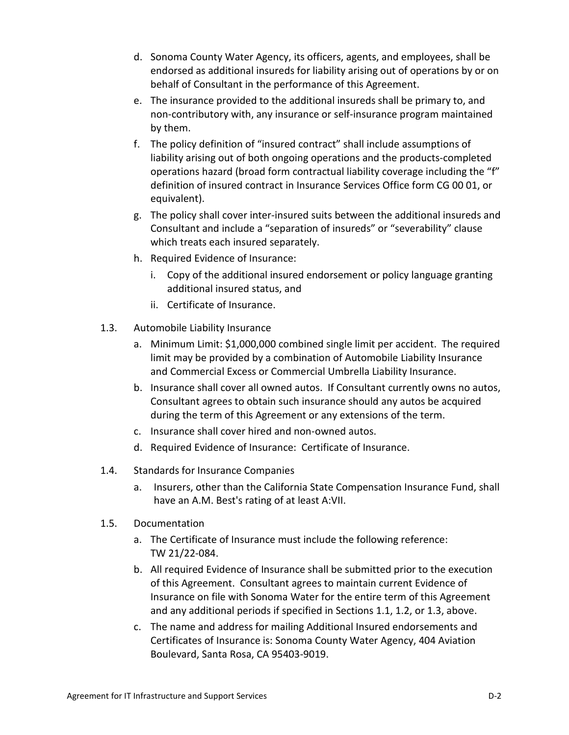- d. Sonoma County Water Agency, its officers, agents, and employees, shall be endorsed as additional insureds for liability arising out of operations by or on behalf of Consultant in the performance of this Agreement.
- e. The insurance provided to the additional insureds shall be primary to, and non-contributory with, any insurance or self-insurance program maintained by them.
- f. The policy definition of "insured contract" shall include assumptions of liability arising out of both ongoing operations and the products-completed operations hazard (broad form contractual liability coverage including the "f" definition of insured contract in Insurance Services Office form CG 00 01, or equivalent).
- g. The policy shall cover inter-insured suits between the additional insureds and Consultant and include a "separation of insureds" or "severability" clause which treats each insured separately.
- h. Required Evidence of Insurance:
	- i. Copy of the additional insured endorsement or policy language granting additional insured status, and
	- ii. Certificate of Insurance.
- <span id="page-28-0"></span>1.3. Automobile Liability Insurance
	- a. Minimum Limit: \$1,000,000 combined single limit per accident. The required limit may be provided by a combination of Automobile Liability Insurance and Commercial Excess or Commercial Umbrella Liability Insurance.
	- b. Insurance shall cover all owned autos. If Consultant currently owns no autos, Consultant agrees to obtain such insurance should any autos be acquired during the term of this Agreement or any extensions of the term.
	- c. Insurance shall cover hired and non-owned autos.
	- d. Required Evidence of Insurance: Certificate of Insurance.
- 1.4. Standards for Insurance Companies
	- a. Insurers, other than the California State Compensation Insurance Fund, shall have an A.M. Best's rating of at least A:VII.
- 1.5. Documentation
	- a. The Certificate of Insurance must include the following reference: TW 21/22-084.
	- b. All required Evidence of Insurance shall be submitted prior to the execution of this Agreement. Consultant agrees to maintain current Evidence of Insurance on file with Sonoma Water for the entire term of this Agreement and any additional periods if specified in Section[s 1.1,](#page-27-0) [1.2,](#page-27-1) or [1.3,](#page-28-0) above.
	- c. The name and address for mailing Additional Insured endorsements and Certificates of Insurance is: Sonoma County Water Agency, 404 Aviation Boulevard, Santa Rosa, CA 95403-9019.